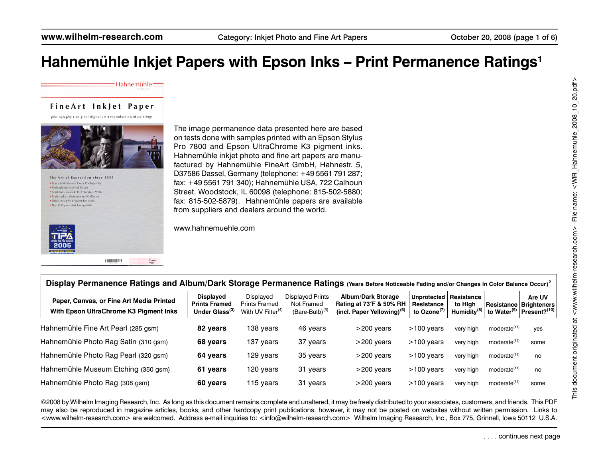FineArt Inklet Paper

 $\equiv$ Hahnemühle $\equiv$ 

photography . original digital art . reproduction of paintings



. Black & White and Color Photography ssional Archival Grade · Acid Free, exceeds ISO Standard 9706 · Preferred by Museums and Galleries · Dries Instantly & Water Resistant . Dye & Pigment Ink Compatible

> **LOQUIDIDIDI** FineArt<br>Pearl

The image permanence data presented here are based on tests done with samples printed with an Epson Stylus Pro 7800 and Epson UltraChrome K3 pigment inks. Hahnemühle inkjet photo and fine art papers are manufactured by Hahnemühle FineArt GmbH, Hahnestr. 5, D37586 Dassel, Germany (telephone: +49 5561 791 287; fax: +49 5561 791 340); Hahnemühle USA, 722 Calhoun Street, Woodstock, IL 60098 (telephone: 815-502-5880; fax: 815-502-5879). Hahnemühle papers are available from suppliers and dealers around the world.

www.hahnemuehle.com

| Display Permanence Ratings and Album/Dark Storage Permanence Ratings (Years Before Noticeable Fading and/or Changes in Color Balance Occur) <sup>2</sup> |                                                                        |                                                                    |                                                             |                                                                                                |                                                     |                                                  |                          |                                                                                          |
|----------------------------------------------------------------------------------------------------------------------------------------------------------|------------------------------------------------------------------------|--------------------------------------------------------------------|-------------------------------------------------------------|------------------------------------------------------------------------------------------------|-----------------------------------------------------|--------------------------------------------------|--------------------------|------------------------------------------------------------------------------------------|
| Paper, Canvas, or Fine Art Media Printed<br>With Epson UltraChrome K3 Pigment Inks                                                                       | <b>Displayed</b><br><b>Prints Framed</b><br>Under Glass <sup>(3)</sup> | Displayed<br><b>Prints Framed</b><br>With UV Filter <sup>(4)</sup> | Displayed Prints<br>Not Framed<br>(Bare-Bulb) <sup>(5</sup> | <b>Album/Dark Storage</b><br>Rating at 73°F & 50% RH<br>(incl. Paper Yellowing) <sup>(6)</sup> | Unprotected<br>Resistance<br>to Ozone <sup>(1</sup> | Resistance<br>to High<br>Humidity <sup>(8)</sup> |                          | Are UV<br>Resistance   Brighteners  <br>to Water <sup>(9)</sup> Present? <sup>(10)</sup> |
| Hahnemühle Fine Art Pearl (285 gsm)                                                                                                                      | 82 years                                                               | 138 vears                                                          | 46 years                                                    | $>200$ years                                                                                   | $>100$ years                                        | very high                                        | moderate <sup>(11)</sup> | yes                                                                                      |
| Hahnemühle Photo Rag Satin (310 gsm)                                                                                                                     | 68 years                                                               | 137 years                                                          | 37 years                                                    | $>200$ vears                                                                                   | $>100$ vears                                        | very high                                        | moderate <sup>(11)</sup> | some                                                                                     |
| Hahnemühle Photo Rag Pearl (320 gsm)                                                                                                                     | 64 years                                                               | 129 years                                                          | 35 years                                                    | $>200$ years                                                                                   | $>100$ vears                                        | very high                                        | moderate <sup>(11)</sup> | no                                                                                       |
| Hahnemühle Museum Etching (350 gsm)                                                                                                                      | 61 years                                                               | 120 years                                                          | 31 years                                                    | $>200$ years                                                                                   | $>100$ years                                        | very high                                        | moderate <sup>(11)</sup> | no                                                                                       |
| Hahnemühle Photo Rag (308 gsm)                                                                                                                           | 60 years                                                               | 115 years                                                          | 31 years                                                    | $>200$ years                                                                                   | $>100$ years                                        | very high                                        | moderate <sup>(11)</sup> | some                                                                                     |

©2008 by Wilhelm Imaging Research, Inc. As long as this document remains complete and unaltered, it may be freely distributed to your associates, customers, and friends. This PDF may also be reproduced in magazine articles, books, and other hardcopy print publications; however, it may not be posted on websites without written permission. Links to <www.wilhelm-research.com> are welcomed. Address e-mail inquiries to: <info@wilhelm-research.com> Wilhelm Imaging Research, Inc., Box 775, Grinnell, Iowa 50112 U.S.A.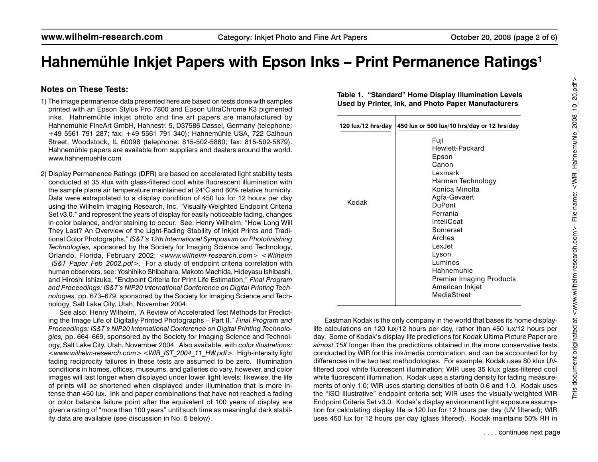#### **Notes on These Tests:**

- 1) The image permanence data presented here are based on tests done with samples printed with an Epson Stylus Pro 7800 and Epson UltraChrome K3 pigmented inks. Hahnemühle inkiet photo and fine art papers are manufactured by Hahnemühle FineArt GmbH, Hahnestr. 5, D37586 Dassel, Germany (telephone: +49 5561 791 287; fax: +49 5561 791 340); Hahnemühle USA, 722 Calhoun Street, Woodstock, IL 60098 (telephone: 815-502-5880; fax: 815-502-5879). Hahnemühle papers are available from suppliers and dealers around the world. www.hahnemuehle.com
- 2) Display Permanence Ratings (DPR) are based on accelerated light stability tests conducted at 35 klux with glass-filtered cool white fluorescent illumination with the sample plane air temperature maintained at 24°C and 60% relative humidity. Data were extrapolated to a display condition of 450 lux for 12 hours per day using the Wilhelm Imaging Research, Inc. "Visually-Weighted Endpoint Criteria Set v3.0." and represent the years of display for easily noticeable fading, changes in color balance, and/or staining to occur. See: Henry Wilhelm, "How Long Will They Last? An Overview of the Light-Fading Stability of Inkjet Prints and Traditional Color Photographs," *IS&T's 12th International Symposium on Photofinishing Technologies,* sponsored by the Society for Imaging Science and Technology, Orlando, Florida, February 2002: *<www.wilhelm-research.com> <Wilhelm \_IS&T\_Paper\_Feb\_2002.pdf>.* For a study of endpoint criteria correlation with human observers, see: Yoshihiko Shibahara, Makoto Machida, Hideyasu Ishibashi, and Hiroshi Ishizuka, "Endpoint Criteria for Print Life Estimation," *Final Program and Proceedings: IS&T's NIP20 International Conference on Digital Printing Technologies,* pp. 673–679, sponsored by the Society for Imaging Science and Technology, Salt Lake City, Utah, November 2004.

See also: Henry Wilhelm, "A Review of Accelerated Test Methods for Predicting the Image Life of Digitally-Printed Photographs – Part II," *Final Program and Proceedings: IS&T's NIP20 International Conference on Digital Printing Technologies,* pp. 664–669, sponsored by the Society for Imaging Science and Technology, Salt Lake City, Utah, November 2004. Also available, with *color illustrations: <www.wilhelm-research.com> <WIR\_IST\_2004\_11\_HW.pdf>.* High-intensity light fading reciprocity failures in these tests are assumed to be zero. Illumination conditions in homes, offices, museums, and galleries do vary, however, and color images will last longer when displayed under lower light levels; likewise, the life of prints will be shortened when displayed under illumination that is more intense than 450 lux. Ink and paper combinations that have not reached a fading or color balance failure point after the equivalent of 100 years of display are given a rating of "more than 100 years" until such time as meaningful dark stability data are available (see discussion in No. 5 below).

**Table 1. "Standard" Home Display Illumination Levels Used by Printer, Ink, and Photo Paper Manufacturers**

| 120 lux/12 hrs/day | 450 lux or 500 lux/10 hrs/day or 12 hrs/day                                                                                                                                                                                                                                                   |
|--------------------|-----------------------------------------------------------------------------------------------------------------------------------------------------------------------------------------------------------------------------------------------------------------------------------------------|
| Kodak              | Fuji<br>Hewlett-Packard<br>Epson<br>Canon<br>Lexmark<br>Harman Technology<br>Konica Minolta<br>Agfa-Gevaert<br><b>DuPont</b><br>Ferrania<br>InteliCoat<br>Somerset<br>Arches<br>LexJet<br>Lyson<br>Luminos<br>Hahnemuhle<br><b>Premier Imaging Products</b><br>American Inkjet<br>MediaStreet |

Eastman Kodak is the only company in the world that bases its home displaylife calculations on 120 lux/12 hours per day, rather than 450 lux/12 hours per day. Some of Kodak's display-life predictions for Kodak Ultima Picture Paper are *almost 15X* longer than the predictions obtained in the more conservative tests conducted by WIR for this ink/media combination, and can be accounted for by differences in the two test methodologies. For example, Kodak uses 80 klux UVfiltered cool white fluorescent illumination; WIR uses 35 klux glass-filtered cool white fluorescent illumination. Kodak uses a starting density for fading measurements of only 1.0; WIR uses starting densities of both 0.6 and 1.0. Kodak uses the "ISO Illustrative" endpoint criteria set; WIR uses the visually-weighted WIR Endpoint Criteria Set v3.0. Kodak's display environment light exposure assumption for calculating display life is 120 lux for 12 hours per day (UV filtered); WIR uses 450 lux for 12 hours per day (glass filtered). Kodak maintains 50% RH in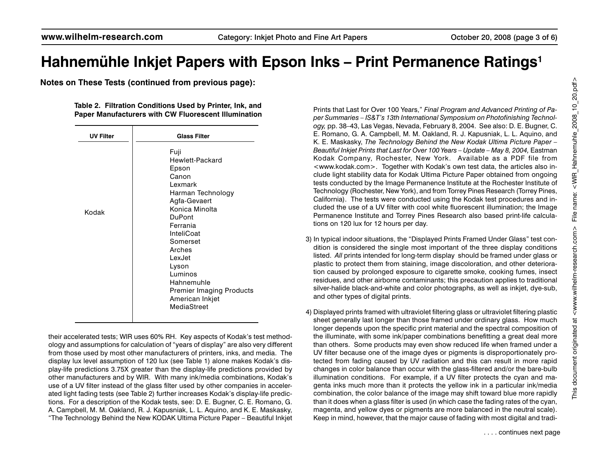**Notes on These Tests (continued from previous page):**

**Table 2. Filtration Conditions Used by Printer, Ink, and Paper Manufacturers with CW Fluorescent Illumination**

| <b>UV Filter</b> |
|------------------|
| Kodak            |

their accelerated tests; WIR uses 60% RH. Key aspects of Kodak's test methodology and assumptions for calculation of "years of display" are also very different from those used by most other manufacturers of printers, inks, and media. The display lux level assumption of 120 lux (see Table 1) alone makes Kodak's display-life predictions 3.75X greater than the display-life predictions provided by other manufacturers and by WIR. With many ink/media combinations, Kodak's use of a UV filter instead of the glass filter used by other companies in accelerated light fading tests (see Table 2) further increases Kodak's display-life predictions. For a description of the Kodak tests, see: D. E. Bugner, C. E. Romano, G. A. Campbell, M. M. Oakland, R. J. Kapusniak, L. L. Aquino, and K. E. Maskasky, "The Technology Behind the New KODAK Ultima Picture Paper – Beautiful Inkjet Prints that Last for Over 100 Years," *Final Program and Advanced Printing of Paper Summaries – IS&T's 13th International Symposium on Photofinishing Technology,* pp. 38–43, Las Vegas, Nevada, February 8, 2004. See also: D. E. Bugner, C. E. Romano, G. A. Campbell, M. M. Oakland, R. J. Kapusniak, L. L. Aquino, and K. E. Maskasky, *The Technology Behind the New Kodak Ultima Picture Paper – Beautiful Inkjet Prints that Last for Over 100 Years – Update – May 8, 2004,* Eastman Kodak Company, Rochester, New York. Available as a PDF file from <www.kodak.com>. Together with Kodak's own test data, the articles also include light stability data for Kodak Ultima Picture Paper obtained from ongoing tests conducted by the Image Permanence Institute at the Rochester Institute of Technology (Rochester, New York), and from Torrey Pines Research (Torrey Pines, California). The tests were conducted using the Kodak test procedures and included the use of a UV filter with cool white fluorescent illumination; the Image Permanence Institute and Torrey Pines Research also based print-life calculations on 120 lux for 12 hours per day.

- 3) In typical indoor situations, the "Displayed Prints Framed Under Glass" test condition is considered the single most important of the three display conditions listed. *All* prints intended for long-term display should be framed under glass or plastic to protect them from staining, image discoloration, and other deterioration caused by prolonged exposure to cigarette smoke, cooking fumes, insect residues, and other airborne contaminants; this precaution applies to traditional silver-halide black-and-white and color photographs, as well as inkjet, dye-sub, and other types of digital prints.
- 4) Displayed prints framed with ultraviolet filtering glass or ultraviolet filtering plastic sheet generally last longer than those framed under ordinary glass. How much longer depends upon the specific print material and the spectral composition of the illuminate, with some ink/paper combinations benefitting a great deal more than others. Some products may even show reduced life when framed under a UV filter because one of the image dyes or pigments is disproportionately protected from fading caused by UV radiation and this can result in more rapid changes in color balance than occur with the glass-filtered and/or the bare-bulb illumination conditions. For example, if a UV filter protects the cyan and magenta inks much more than it protects the yellow ink in a particular ink/media combination, the color balance of the image may shift toward blue more rapidly than it does when a glass filter is used (in which case the fading rates of the cyan, magenta, and yellow dyes or pigments are more balanced in the neutral scale). Keep in mind, however, that the major cause of fading with most digital and tradi-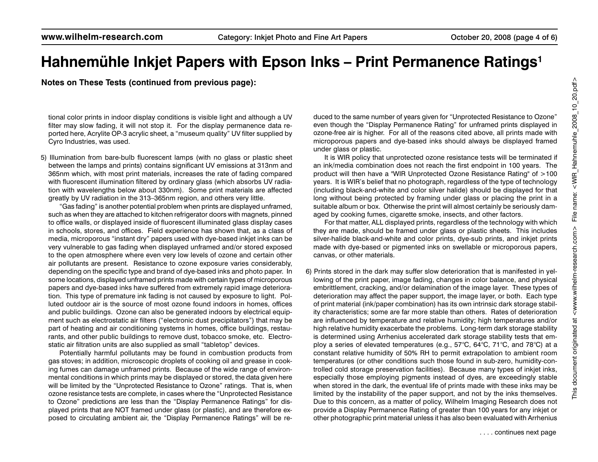**Notes on These Tests (continued from previous page):**

tional color prints in indoor display conditions is visible light and although a UV filter may slow fading, it will not stop it. For the display permanence data reported here, Acrylite OP-3 acrylic sheet, a "museum quality" UV filter supplied by Cyro Industries, was used.

5) Illumination from bare-bulb fluorescent lamps (with no glass or plastic sheet between the lamps and prints) contains significant UV emissions at 313nm and 365nm which, with most print materials, increases the rate of fading compared with fluorescent illumination filtered by ordinary glass (which absorbs UV radiation with wavelengths below about 330nm). Some print materials are affected greatly by UV radiation in the 313–365nm region, and others very little.

"Gas fading" is another potential problem when prints are displayed unframed, such as when they are attached to kitchen refrigerator doors with magnets, pinned to office walls, or displayed inside of fluorescent illuminated glass display cases in schools, stores, and offices. Field experience has shown that, as a class of media, microporous "instant dry" papers used with dye-based inkjet inks can be very vulnerable to gas fading when displayed unframed and/or stored exposed to the open atmosphere where even very low levels of ozone and certain other air pollutants are present. Resistance to ozone exposure varies considerably, depending on the specific type and brand of dye-based inks and photo paper. In some locations, displayed unframed prints made with certain types of microporous papers and dye-based inks have suffered from extremely rapid image deterioration. This type of premature ink fading is not caused by exposure to light. Polluted outdoor air is the source of most ozone found indoors in homes, offices and public buildings. Ozone can also be generated indoors by electrical equipment such as electrostatic air filters ("electronic dust precipitators") that may be part of heating and air conditioning systems in homes, office buildings, restaurants, and other public buildings to remove dust, tobacco smoke, etc. Electrostatic air filtration units are also supplied as small "tabletop" devices.

Potentially harmful pollutants may be found in combustion products from gas stoves; in addition, microscopic droplets of cooking oil and grease in cooking fumes can damage unframed prints. Because of the wide range of environmental conditions in which prints may be displayed or stored, the data given here will be limited by the "Unprotected Resistance to Ozone" ratings. That is, when ozone resistance tests are complete, in cases where the "Unprotected Resistance to Ozone" predictions are less than the "Display Permanence Ratings" for displayed prints that are NOT framed under glass (or plastic), and are therefore exposed to circulating ambient air, the "Display Permanence Ratings" will be reduced to the same number of years given for "Unprotected Resistance to Ozone" even though the "Display Permanence Rating" for unframed prints displayed in ozone-free air is higher. For all of the reasons cited above, all prints made with microporous papers and dye-based inks should always be displayed framed under glass or plastic.

It is WIR policy that unprotected ozone resistance tests will be terminated if an ink/media combination does not reach the first endpoint in 100 years. The product will then have a "WIR Unprotected Ozone Resistance Rating" of >100 years. It is WIR's belief that no photograph, regardless of the type of technology (including black-and-white and color silver halide) should be displayed for that long without being protected by framing under glass or placing the print in a suitable album or box. Otherwise the print will almost certainly be seriously damaged by cooking fumes, cigarette smoke, insects, and other factors.

For that matter, ALL displayed prints, regardless of the technology with which they are made, should be framed under glass or plastic sheets. This includes silver-halide black-and-white and color prints, dye-sub prints, and inkjet prints made with dye-based or pigmented inks on swellable or microporous papers, canvas, or other materials.

6) Prints stored in the dark may suffer slow deterioration that is manifested in yellowing of the print paper, image fading, changes in color balance, and physical embrittlement, cracking, and/or delamination of the image layer. These types of deterioration may affect the paper support, the image layer, or both. Each type of print material (ink/paper combination) has its own intrinsic dark storage stability characteristics; some are far more stable than others. Rates of deterioration are influenced by temperature and relative humidity; high temperatures and/or high relative humidity exacerbate the problems. Long-term dark storage stability is determined using Arrhenius accelerated dark storage stability tests that employ a series of elevated temperatures (e.g., 57°C, 64°C, 71°C, and 78°C) at a constant relative humidity of 50% RH to permit extrapolation to ambient room temperatures (or other conditions such those found in sub-zero, humidity-controlled cold storage preservation facilities). Because many types of inkjet inks, especially those employing pigments instead of dyes, are exceedingly stable when stored in the dark, the eventual life of prints made with these inks may be limited by the instability of the paper support, and not by the inks themselves. Due to this concern, as a matter of policy, Wilhelm Imaging Research does not provide a Display Permanence Rating of greater than 100 years for any inkjet or other photographic print material unless it has also been evaluated with Arrhenius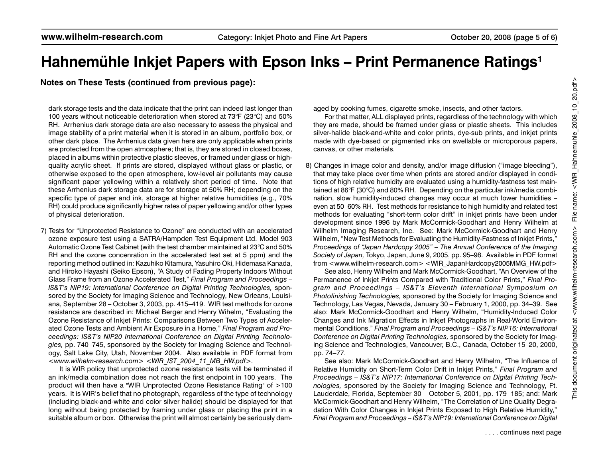**Notes on These Tests (continued from previous page):**

dark storage tests and the data indicate that the print can indeed last longer than 100 years without noticeable deterioration when stored at 73°F (23°C) and 50% RH. Arrhenius dark storage data are also necessary to assess the physical and image stability of a print material when it is stored in an album, portfolio box, or other dark place. The Arrhenius data given here are only applicable when prints are protected from the open atmosphere; that is, they are stored in closed boxes, placed in albums within protective plastic sleeves, or framed under glass or highquality acrylic sheet. If prints are stored, displayed without glass or plastic, or otherwise exposed to the open atmosphere, low-level air pollutants may cause significant paper yellowing within a relatively short period of time. Note that these Arrhenius dark storage data are for storage at 50% RH; depending on the specific type of paper and ink, storage at higher relative humidities (e.g., 70% RH) could produce significantly higher rates of paper yellowing and/or other types of physical deterioration.

7) Tests for "Unprotected Resistance to Ozone" are conducted with an accelerated ozone exposure test using a SATRA/Hampden Test Equipment Ltd. Model 903 Automatic Ozone Test Cabinet (with the test chamber maintained at 23°C and 50% RH and the ozone concenration in the accelerated test set at 5 ppm) and the reporting method outlined in: Kazuhiko Kitamura, Yasuhiro Oki, Hidemasa Kanada, and Hiroko Hayashi (Seiko Epson), "A Study of Fading Property Indoors Without Glass Frame from an Ozone Accelerated Test," *Final Program and Proceedings – IS&T's NIP19: International Conference on Digital Printing Technologies,* sponsored by the Society for Imaging Science and Technology, New Orleans, Louisiana, September 28 – October 3, 2003, pp. 415–419. WIR test methods for ozone resistance are described in: Michael Berger and Henry Wihelm, "Evaluating the Ozone Resistance of Inkjet Prints: Comparisons Between Two Types of Accelerated Ozone Tests and Ambient Air Exposure in a Home," *Final Program and Proceedings: IS&T's NIP20 International Conference on Digital Printing Technologies,* pp. 740–745, sponsored by the Society for Imaging Science and Technology, Salt Lake City, Utah, November 2004. Also available in PDF format from *<www.wilhelm-research.com> <WIR\_IST\_2004\_11\_MB\_HW.pdf>.*

It is WIR policy that unprotected ozone resistance tests will be terminated if an ink/media combination does not reach the first endpoint in 100 years. The product will then have a "WIR Unprotected Ozone Resistance Rating" of >100 years. It is WIR's belief that no photograph, regardless of the type of technology (including black-and-white and color silver halide) should be displayed for that long without being protected by framing under glass or placing the print in a suitable album or box. Otherwise the print will almost certainly be seriously damaged by cooking fumes, cigarette smoke, insects, and other factors.

For that matter, ALL displayed prints, regardless of the technology with which they are made, should be framed under glass or plastic sheets. This includes silver-halide black-and-white and color prints, dye-sub prints, and inkjet prints made with dye-based or pigmented inks on swellable or microporous papers, canvas, or other materials.

8) Changes in image color and density, and/or image diffusion ("image bleeding"), that may take place over time when prints are stored and/or displayed in conditions of high relative humidity are evaluated using a humidity-fastness test maintained at 86°F (30°C) and 80% RH. Depending on the particular ink/media combination, slow humidity-induced changes may occur at much lower humidities – even at 50–60% RH. Test methods for resistance to high humidity and related test methods for evaluating "short-term color drift" in inkjet prints have been under development since 1996 by Mark McCormick-Goodhart and Henry Wilhelm at Wilhelm Imaging Research, Inc. See: Mark McCormick-Goodhart and Henry Wilhelm, "New Test Methods for Evaluating the Humidity-Fastness of Inkjet Prints," *Proceedings of "Japan Hardcopy 2005" – The Annual Conference of the Imaging Society of Japan,* Tokyo, Japan, June 9, 2005, pp. 95–98. Available in PDF format from <www.wilhelm-research.com> <WIR\_JapanHardcopy2005MMG\_HW.pdf>

See also, Henry Wilhelm and Mark McCormick-Goodhart, "An Overview of the Permanence of Inkjet Prints Compared with Traditional Color Prints," *Final Program and Proceedings – IS&T's Eleventh International Symposium on Photofinishing Technologies,* sponsored by the Society for Imaging Science and Technology, Las Vegas, Nevada, January 30 – February 1, 2000, pp. 34–39. See also: Mark McCormick-Goodhart and Henry Wilhelm, "Humidity-Induced Color Changes and Ink Migration Effects in Inkjet Photographs in Real-World Environmental Conditions," *Final Program and Proceedings – IS&T's NIP16: International Conference on Digital Printing Technologies,* sponsored by the Society for Imaging Science and Technologies, Vancouver, B.C., Canada, October 15–20, 2000, pp. 74–77.

See also: Mark McCormick-Goodhart and Henry Wilhelm, "The Influence of Relative Humidity on Short-Term Color Drift in Inkjet Prints," *Final Program and Proceedings – IS&T's NIP17: International Conference on Digital Printing Technologies,* sponsored by the Society for Imaging Science and Technology, Ft. Lauderdale, Florida, September 30 – October 5, 2001, pp. 179–185; and: Mark McCormick-Goodhart and Henry Wilhelm, "The Correlation of Line Quality Degradation With Color Changes in Inkjet Prints Exposed to High Relative Humidity," *Final Program and Proceedings – IS&T's NIP19: International Conference on Digital*